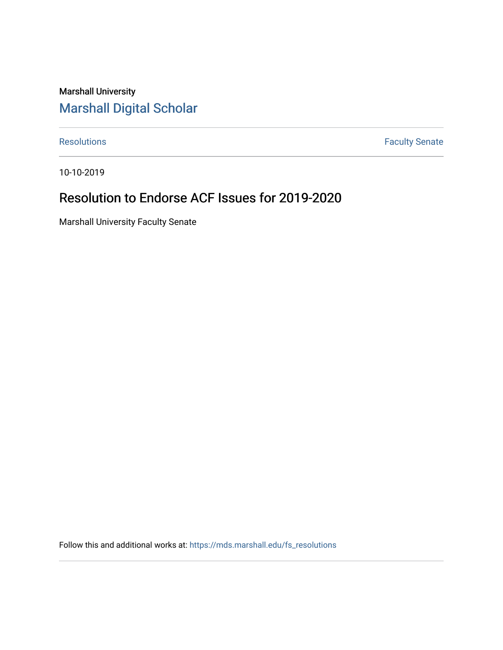## Marshall University [Marshall Digital Scholar](https://mds.marshall.edu/)

[Resolutions](https://mds.marshall.edu/fs_resolutions) **Faculty Senate** 

10-10-2019

# Resolution to Endorse ACF Issues for 2019-2020

Marshall University Faculty Senate

Follow this and additional works at: [https://mds.marshall.edu/fs\\_resolutions](https://mds.marshall.edu/fs_resolutions?utm_source=mds.marshall.edu%2Ffs_resolutions%2F96&utm_medium=PDF&utm_campaign=PDFCoverPages)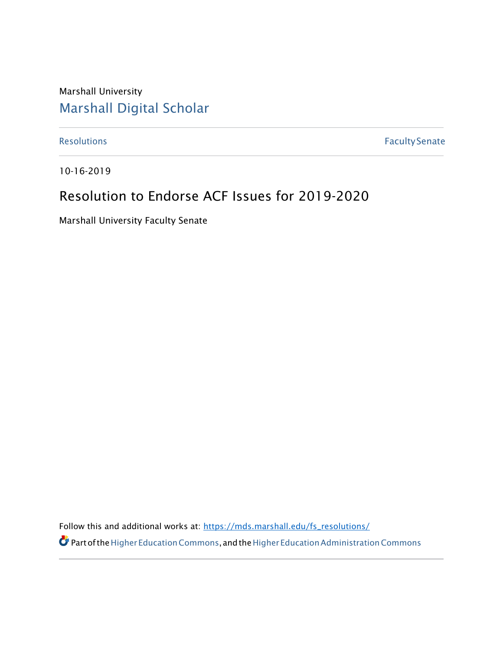Marshall University [Marshall Digital Scholar](https://mds.marshall.edu/)

[Resolutions](https://mds.marshall.edu/fs_recommendations) **Faculty Senate** 

10-16-2019

# Resolution to Endorse ACF Issues for 2019-2020

Marshall University Faculty Senate

Follow this and additional works at: [https://mds.marshall.edu/fs\\_resolutions/](https://mds.marshall.edu/fs_resolutions/)

 $\bullet$  Part of the Higher Education Commons, and the Higher Education Administration Commons